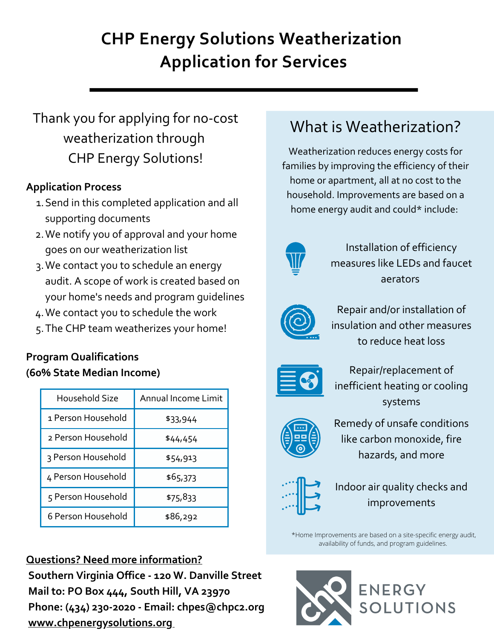# **CHP Energy Solutions Weatherization Application for Services**

# Thank you for applying for no-cost weatherization through CHP Energy Solutions!

## **Application Process**

- 1. Send in this completed application and all supporting documents
- We notify you of approval and your home 2. goes on our weatherization list
- We contact you to schedule an energy 3. audit. A scope of work is created based on your home's needs and program guidelines
- We contact you to schedule the work 4.
- The CHP team weatherizes your home! 5.

## **Program Qualifications (60% State Median Income)**

| Household Size     | Annual Income Limit |
|--------------------|---------------------|
| 1 Person Household | \$33,944            |
| 2 Person Household | \$44,454            |
| 3 Person Household | \$54,913            |
| 4 Person Household | \$65,373            |
| 5 Person Household | \$75,833            |
| 6 Person Household | \$86,292            |

### **Questions? Need more information?**

**Southern Virginia Office - 120 W. Danville Street Mail to: PO Box 444, South Hill, VA 23970 Phone: (434) 230-2020 - Email: chpes@chpc2.org [www.chpenergysolutions.org](http://www.chpenergysolutions.org/)**

# What is Weatherization?

Weatherization reduces energy costs for families by improving the efficiency of their home or apartment, all at no cost to the household. Improvements are based on a home energy audit and could\* include:



Installation of efficiency measures like LEDs and faucet aerators



Repair and/or installation of insulation and other measures to reduce heat loss



Repair/replacement of inefficient heating or cooling systems



Remedy of unsafe conditions like carbon monoxide, fire hazards, and more



Indoor air quality checks and improvements

\*Home Improvements are based on a site-specific energy audit, availability of funds, and program guidelines.

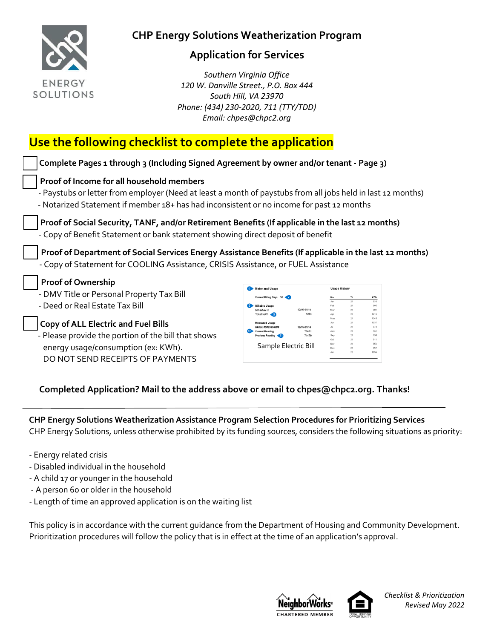

#### **Application for Services**

 *Southern Virginia Office 120 W. Danville Street., P.O. Box 444 South Hill, VA 23970 Phone: (434) 230-2020, 711 (TTY/TDD) Email: chpes@chpc2.org*

# **Use the following checklist to complete the application**

| Complete Pages 1 through 3 (Including Signed Agreement by owner and/or tenant - Page 3)                                                                                                                                                              |                                                                                         |                                             |                |                                          |  |  |
|------------------------------------------------------------------------------------------------------------------------------------------------------------------------------------------------------------------------------------------------------|-----------------------------------------------------------------------------------------|---------------------------------------------|----------------|------------------------------------------|--|--|
| Proof of Income for all household members<br>- Paystubs or letter from employer (Need at least a month of paystubs from all jobs held in last 12 months)<br>- Notarized Statement if member 18+ has had inconsistent or no income for past 12 months |                                                                                         |                                             |                |                                          |  |  |
| Proof of Social Security, TANF, and/or Retirement Benefits (If applicable in the last 12 months)<br>- Copy of Benefit Statement or bank statement showing direct deposit of benefit                                                                  |                                                                                         |                                             |                |                                          |  |  |
|                                                                                                                                                                                                                                                      |                                                                                         |                                             |                |                                          |  |  |
| Proof of Department of Social Services Energy Assistance Benefits (If applicable in the last 12 months)<br>- Copy of Statement for COOLING Assistance, CRISIS Assistance, or FUEL Assistance                                                         |                                                                                         |                                             |                |                                          |  |  |
| <b>Proof of Ownership</b>                                                                                                                                                                                                                            | 6 Meter and Usage                                                                       | <b>Usage History</b>                        |                |                                          |  |  |
| - DMV Title or Personal Property Tax Bill<br>- Deed or Real Estate Tax Bill                                                                                                                                                                          | Current Billing Days: 30<br>iillable Usage<br>12/15-01/14<br>Schedule.<br>Total kWh < 9 | Ann                                         | 21<br>21<br>21 | kWh<br>838<br>805<br>981<br>1415         |  |  |
| <b>Copy of ALL Electric and Fuel Bills</b><br>- Please provide the portion of the bill that shows                                                                                                                                                    | 12/15-01/14<br><b>Current Reading</b><br>Previous Reading                               | May<br>100<br>Jul.<br>72451<br>Aug<br>71479 | 21             | 1345<br>1037<br>972<br>731<br>795<br>811 |  |  |

#### **Completed Application? Mail to the address above or email to chpes@chpc2.org. Thanks!**

**CHP Energy Solutions Weatherization Assistance Program Selection Procedures for Prioritizing Services** CHP Energy Solutions, unless otherwise prohibited by its funding sources, considers the following situations as priority:

- Energy related crisis
- Disabled individual in the household
- A child 17 or younger in the household

DO NOT SEND RECEIPTS OF PAYMENTS

- A person 60 or older in the household
- Length of time an approved application is on the waiting list

This policy is in accordance with the current guidance from the Department of Housing and Community Development. Prioritization procedures will follow the policy that is in effect at the time of an application's approval.





*Checklist & Prioritization Revised May 2022*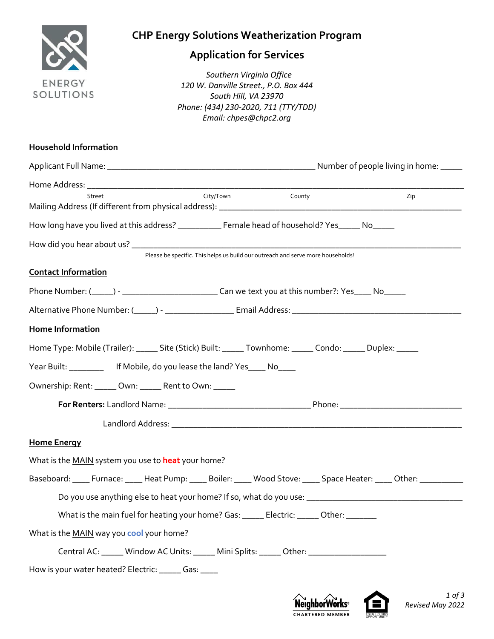

## **Application for Services**

**ENERGY** *Southern Virginia Office*<br>
120 W Danville Street P.O. Bo *120 W. Danville Street., P.O. Box 444 South Hill, VA 23970 Phone: (434) 230-2020, 711 (TTY/TDD) Email: chpes@chpc2.org*

| <b>Household Information</b>                                                                                            |     |
|-------------------------------------------------------------------------------------------------------------------------|-----|
|                                                                                                                         |     |
|                                                                                                                         |     |
| City/Town<br>County<br>Street                                                                                           | Zip |
| How long have you lived at this address? ___________ Female head of household? Yes_____ No_____                         |     |
| Please be specific. This helps us build our outreach and serve more households!                                         |     |
| <b>Contact Information</b>                                                                                              |     |
|                                                                                                                         |     |
| Alternative Phone Number: (______) - ________________________ Email Address: _________________________________          |     |
| Home Information                                                                                                        |     |
| Home Type: Mobile (Trailer): ______ Site (Stick) Built: ______ Townhome: ______ Condo: ______ Duplex: _____             |     |
| Year Built: ____________ If Mobile, do you lease the land? Yes_____ No____                                              |     |
| Ownership: Rent: ______ Own: ______ Rent to Own: _____                                                                  |     |
|                                                                                                                         |     |
|                                                                                                                         |     |
| <b>Home Energy</b>                                                                                                      |     |
| What is the MAIN system you use to heat your home?                                                                      |     |
| Baseboard: _____ Furnace: _____ Heat Pump: _____ Boiler: _____ Wood Stove: _____ Space Heater: _____ Other: ___________ |     |
|                                                                                                                         |     |
| What is the main fuel for heating your home? Gas: _______ Electric: _______ Other: ________                             |     |
| What is the MAIN way you cool your home?                                                                                |     |
| Central AC: Window AC Units: White Mini Splits: Wher: Western Mini Splits: 2007                                         |     |
| How is your water heated? Electric: ______ Gas: _____                                                                   |     |
|                                                                                                                         |     |



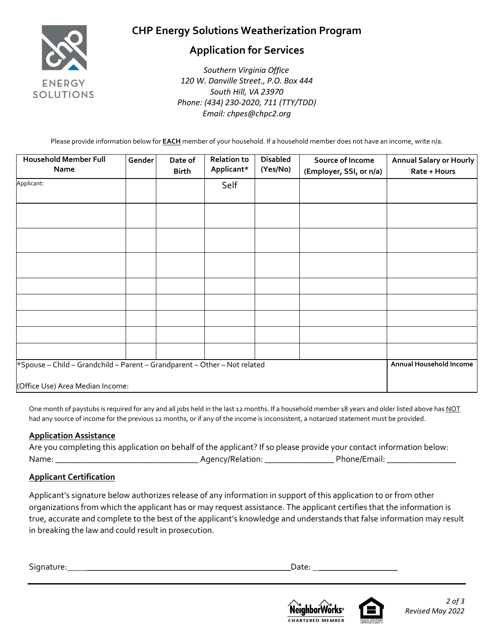

#### **Application for Services**

 *Southern Virginia Office 120 W. Danville Street., P.O. Box 444 South Hill, VA 23970 Phone: (434) 230-2020, 711 (TTY/TDD) Email: chpes@chpc2.org*

Please provide information below for **EACH** member of your household. If a household member does not have an income, write n/a.

| <b>Household Member Full</b><br>Name                                                                          | Gender | Date of<br><b>Birth</b> | <b>Relation to</b><br>Applicant* | <b>Disabled</b><br>(Yes/No) | Source of Income<br>(Employer, SSI, or n/a) | Annual Salary or Hourly<br>Rate + Hours |
|---------------------------------------------------------------------------------------------------------------|--------|-------------------------|----------------------------------|-----------------------------|---------------------------------------------|-----------------------------------------|
| Applicant:                                                                                                    |        |                         | Self                             |                             |                                             |                                         |
|                                                                                                               |        |                         |                                  |                             |                                             |                                         |
|                                                                                                               |        |                         |                                  |                             |                                             |                                         |
|                                                                                                               |        |                         |                                  |                             |                                             |                                         |
|                                                                                                               |        |                         |                                  |                             |                                             |                                         |
|                                                                                                               |        |                         |                                  |                             |                                             |                                         |
|                                                                                                               |        |                         |                                  |                             |                                             |                                         |
|                                                                                                               |        |                         |                                  |                             |                                             |                                         |
|                                                                                                               |        |                         |                                  |                             |                                             |                                         |
| *Spouse - Child - Grandchild - Parent - Grandparent - Other - Not related<br>(Office Use) Area Median Income: |        |                         |                                  |                             |                                             | Annual Household Income                 |

One month of paystubs is required for any and all jobs held in the last 12 months. If a household member 18 years and older listed above has NOT had any source of income for the previous 12 months, or if any of the income is inconsistent, a notarized statement must be provided.

#### **Application Assistance**

| Are you completing this application on behalf of the applicant? If so please provide your contact information below: |                  |              |
|----------------------------------------------------------------------------------------------------------------------|------------------|--------------|
| Name:                                                                                                                | Agency/Relation: | Phone/Email: |

#### **Applicant Certification**

Applicant's signature below authorizes release of any information in support of this application to or from other organizations from which the applicant has or may request assistance. The applicant certifies that the information is true, accurate and complete to the best of the applicant's knowledge and understands that false information may result in breaking the law and could result in prosecution.

Signature: **\_\_\_\_\_\_\_\_\_\_\_\_\_\_\_\_\_\_\_\_\_\_\_\_\_\_\_\_\_\_\_\_\_\_\_\_\_\_\_\_\_\_\_\_\_\_\_**Date: **\_\_\_\_\_\_\_\_\_\_\_\_\_\_\_\_\_\_**